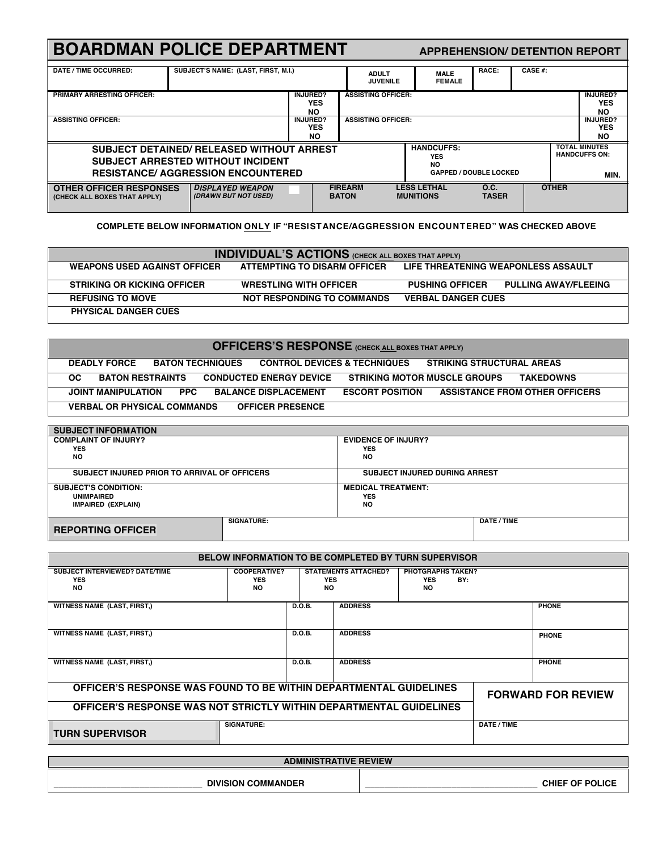| <b>BOARDMAN POLICE DEPARTMENT</b><br><b>APPREHENSION/ DETENTION REPORT</b>                                                                                                                                                 |                                                 |                                            |                                 |                              |                                                      |                      |                                            |                                      |
|----------------------------------------------------------------------------------------------------------------------------------------------------------------------------------------------------------------------------|-------------------------------------------------|--------------------------------------------|---------------------------------|------------------------------|------------------------------------------------------|----------------------|--------------------------------------------|--------------------------------------|
| DATE / TIME OCCURRED:                                                                                                                                                                                                      | SUBJECT'S NAME: (LAST, FIRST, M.I.)             |                                            | <b>ADULT</b><br><b>JUVENILE</b> | <b>MALE</b><br><b>FEMALE</b> | RACE:                                                | CASE $#$ :           |                                            |                                      |
| <b>PRIMARY ARRESTING OFFICER:</b>                                                                                                                                                                                          |                                                 | INJURED?<br><b>YES</b><br><b>NO</b>        |                                 | <b>ASSISTING OFFICER:</b>    |                                                      |                      |                                            | <b>INJURED?</b><br><b>YES</b><br>NO. |
| <b>ASSISTING OFFICER:</b>                                                                                                                                                                                                  |                                                 | <b>INJURED?</b><br><b>YES</b><br><b>NO</b> |                                 | <b>ASSISTING OFFICER:</b>    |                                                      |                      | <b>INJURED?</b><br><b>YES</b><br><b>NO</b> |                                      |
| <b>HANDCUFFS:</b><br><b>SUBJECT DETAINED/ RELEASED WITHOUT ARREST</b><br><b>YES</b><br><b>SUBJECT ARRESTED WITHOUT INCIDENT</b><br><b>NO</b><br><b>RESISTANCE/ AGGRESSION ENCOUNTERED</b><br><b>GAPPED / DOUBLE LOCKED</b> |                                                 |                                            |                                 |                              | <b>TOTAL MINUTES</b><br><b>HANDCUFFS ON:</b><br>MIN. |                      |                                            |                                      |
| <b>OTHER OFFICER RESPONSES</b><br>(CHECK ALL BOXES THAT APPLY)                                                                                                                                                             | <b>DISPLAYED WEAPON</b><br>(DRAWN BUT NOT USED) | ┍                                          | <b>FIREARM</b><br><b>BATON</b>  |                              | <b>LESS LETHAL</b><br><b>MUNITIONS</b>               | O.C.<br><b>TASER</b> | <b>OTHER</b>                               |                                      |

**COMPLETE BELOW INFORMATION ONLY IF "RESISTANCE/AGGRESSION ENCOUNTERED" WAS CHECKED ABOVE**

| <b>INDIVIDUAL'S ACTIONS</b> (CHECK ALL BOXES THAT APPLY) |                                   |                                                       |  |  |  |  |
|----------------------------------------------------------|-----------------------------------|-------------------------------------------------------|--|--|--|--|
| <b>WEAPONS USED AGAINST OFFICER</b>                      | ATTEMPTING TO DISARM OFFICER      | LIFE THREATENING WEAPONLESS ASSAULT                   |  |  |  |  |
| <b>STRIKING OR KICKING OFFICER</b>                       | <b>WRESTLING WITH OFFICER</b>     | <b>PULLING AWAY/FLEEING</b><br><b>PUSHING OFFICER</b> |  |  |  |  |
| <b>REFUSING TO MOVE</b>                                  | <b>NOT RESPONDING TO COMMANDS</b> | <b>VERBAL DANGER CUES</b>                             |  |  |  |  |
| <b>PHYSICAL DANGER CUES</b>                              |                                   |                                                       |  |  |  |  |

## **OFFICERS'S RESPONSE (CHECK ALL BOXES THAT APPLY)**

| <b>DEADLY FORCE</b>                | <b>BATON TECHNIQUES</b> |                                | <b>CONTROL DEVICES &amp; TECHNIQUES</b> | STRIKING STRUCTURAL AREAS           |                                       |
|------------------------------------|-------------------------|--------------------------------|-----------------------------------------|-------------------------------------|---------------------------------------|
| OC.<br><b>BATON RESTRAINTS</b>     |                         | <b>CONDUCTED ENERGY DEVICE</b> |                                         | <b>STRIKING MOTOR MUSCLE GROUPS</b> | <b>TAKEDOWNS</b>                      |
| <b>JOINT MANIPULATION</b>          | PPC.                    | <b>BALANCE DISPLACEMENT</b>    | <b>ESCORT POSITION</b>                  |                                     | <b>ASSISTANCE FROM OTHER OFFICERS</b> |
| <b>VERBAL OR PHYSICAL COMMANDS</b> |                         | <b>OFFICER PRESENCE</b>        |                                         |                                     |                                       |

| <b>SUBJECT INFORMATION</b>                   |            |                                      |  |  |
|----------------------------------------------|------------|--------------------------------------|--|--|
| <b>COMPLAINT OF INJURY?</b>                  |            | <b>EVIDENCE OF INJURY?</b>           |  |  |
| <b>YES</b>                                   |            | <b>YES</b>                           |  |  |
| <b>NO</b>                                    |            | <b>NO</b>                            |  |  |
| SUBJECT INJURED PRIOR TO ARRIVAL OF OFFICERS |            | <b>SUBJECT INJURED DURING ARREST</b> |  |  |
|                                              |            |                                      |  |  |
| <b>SUBJECT'S CONDITION:</b>                  |            | <b>MEDICAL TREATMENT:</b>            |  |  |
| <b>UNIMPAIRED</b>                            |            | <b>YES</b>                           |  |  |
| IMPAIRED (EXPLAIN)                           |            | <b>NO</b>                            |  |  |
|                                              |            |                                      |  |  |
|                                              | SIGNATURE: | DATE / TIME                          |  |  |
| <b>REPORTING OFFICER</b>                     |            |                                      |  |  |

| <b>BELOW INFORMATION TO BE COMPLETED BY TURN SUPERVISOR</b>        |                                                |                   |                             |                                                      |             |                           |  |
|--------------------------------------------------------------------|------------------------------------------------|-------------------|-----------------------------|------------------------------------------------------|-------------|---------------------------|--|
| <b>SUBJECT INTERVIEWED? DATE/TIME</b><br><b>YES</b><br><b>NO</b>   | <b>COOPERATIVE?</b><br><b>YES</b><br><b>NO</b> | <b>YES</b><br>NO. | <b>STATEMENTS ATTACHED?</b> | <b>PHOTGRAPHS TAKEN?</b><br><b>YES</b><br>BY:<br>NO. |             |                           |  |
| <b>WITNESS NAME (LAST, FIRST,)</b>                                 |                                                | D.O.B.            | <b>ADDRESS</b>              |                                                      |             | <b>PHONE</b>              |  |
| <b>WITNESS NAME (LAST, FIRST,)</b>                                 |                                                | D.O.B.            | <b>ADDRESS</b>              |                                                      |             | <b>PHONE</b>              |  |
| <b>WITNESS NAME (LAST, FIRST,)</b>                                 |                                                | D.O.B.            | <b>ADDRESS</b>              |                                                      |             | <b>PHONE</b>              |  |
| OFFICER'S RESPONSE WAS FOUND TO BE WITHIN DEPARTMENTAL GUIDELINES  |                                                |                   |                             |                                                      |             | <b>FORWARD FOR REVIEW</b> |  |
| OFFICER'S RESPONSE WAS NOT STRICTLY WITHIN DEPARTMENTAL GUIDELINES |                                                |                   |                             |                                                      |             |                           |  |
| <b>TURN SUPERVISOR</b>                                             | <b>SIGNATURE:</b>                              |                   |                             |                                                      | DATE / TIME |                           |  |
| $\overline{AB}$                                                    |                                                |                   |                             |                                                      |             |                           |  |

| <b>ADMINISTRATIVE REVIEW</b> |                        |  |  |  |  |
|------------------------------|------------------------|--|--|--|--|
| <b>DIVISION COMMANDER</b>    | <b>CHIEF OF POLICE</b> |  |  |  |  |